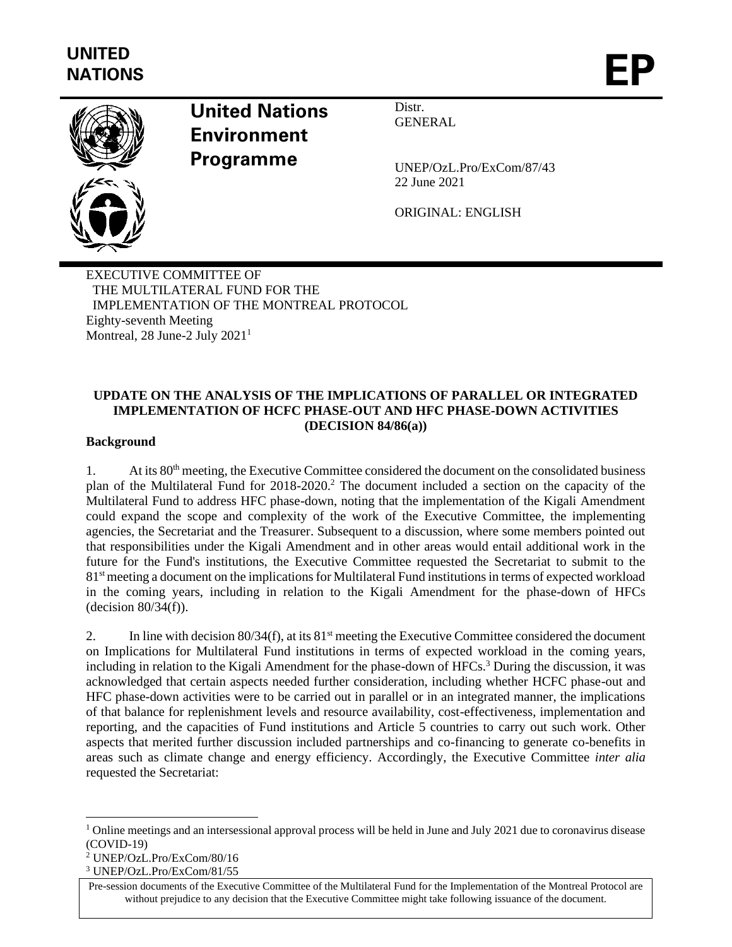

# **United Nations Environment Programme**

Distr. GENERAL

UNEP/OzL.Pro/ExCom/87/43 22 June 2021

ORIGINAL: ENGLISH

EXECUTIVE COMMITTEE OF THE MULTILATERAL FUND FOR THE IMPLEMENTATION OF THE MONTREAL PROTOCOL Eighty-seventh Meeting Montreal, 28 June-2 July 2021<sup>1</sup>

## **UPDATE ON THE ANALYSIS OF THE IMPLICATIONS OF PARALLEL OR INTEGRATED IMPLEMENTATION OF HCFC PHASE-OUT AND HFC PHASE-DOWN ACTIVITIES (DECISION 84/86(a))**

#### **Background**

1. At its 80th meeting, the Executive Committee considered the document on the consolidated business plan of the Multilateral Fund for 2018-2020.<sup>2</sup> The document included a section on the capacity of the Multilateral Fund to address HFC phase-down, noting that the implementation of the Kigali Amendment could expand the scope and complexity of the work of the Executive Committee, the implementing agencies, the Secretariat and the Treasurer. Subsequent to a discussion, where some members pointed out that responsibilities under the Kigali Amendment and in other areas would entail additional work in the future for the Fund's institutions, the Executive Committee requested the Secretariat to submit to the 81<sup>st</sup> meeting a document on the implications for Multilateral Fund institutions in terms of expected workload in the coming years, including in relation to the Kigali Amendment for the phase-down of HFCs (decision 80/34(f)).

2. In line with decision  $80/34(f)$ , at its  $81<sup>st</sup>$  meeting the Executive Committee considered the document on Implications for Multilateral Fund institutions in terms of expected workload in the coming years, including in relation to the Kigali Amendment for the phase-down of HFCs.<sup>3</sup> During the discussion, it was acknowledged that certain aspects needed further consideration, including whether HCFC phase-out and HFC phase-down activities were to be carried out in parallel or in an integrated manner, the implications of that balance for replenishment levels and resource availability, cost-effectiveness, implementation and reporting, and the capacities of Fund institutions and Article 5 countries to carry out such work. Other aspects that merited further discussion included partnerships and co-financing to generate co-benefits in areas such as climate change and energy efficiency. Accordingly, the Executive Committee *inter alia*  requested the Secretariat:

 $1$  Online meetings and an intersessional approval process will be held in June and July 2021 due to coronavirus disease (COVID-19)

<sup>2</sup> UNEP/OzL.Pro/ExCom/80/16

<sup>3</sup> UNEP/OzL.Pro/ExCom/81/55

Pre-session documents of the Executive Committee of the Multilateral Fund for the Implementation of the Montreal Protocol are without prejudice to any decision that the Executive Committee might take following issuance of the document.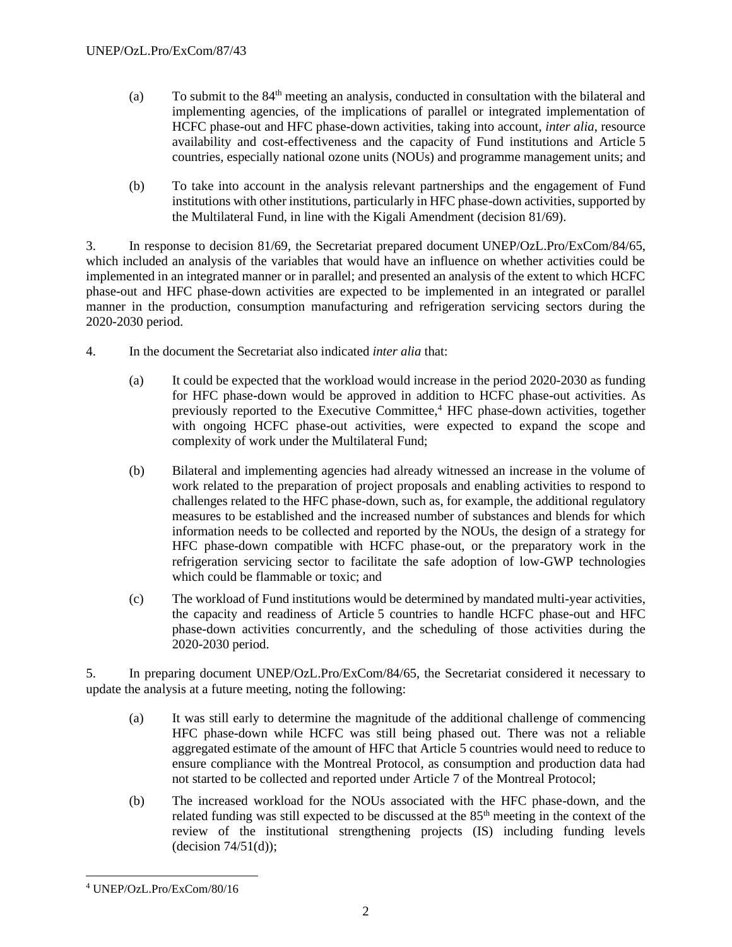- (a) To submit to the 84th meeting an analysis, conducted in consultation with the bilateral and implementing agencies, of the implications of parallel or integrated implementation of HCFC phase-out and HFC phase-down activities, taking into account, *inter alia*, resource availability and cost-effectiveness and the capacity of Fund institutions and Article 5 countries, especially national ozone units (NOUs) and programme management units; and
- (b) To take into account in the analysis relevant partnerships and the engagement of Fund institutions with other institutions, particularly in HFC phase-down activities, supported by the Multilateral Fund, in line with the Kigali Amendment (decision 81/69).

3. In response to decision 81/69, the Secretariat prepared document UNEP/OzL.Pro/ExCom/84/65, which included an analysis of the variables that would have an influence on whether activities could be implemented in an integrated manner or in parallel; and presented an analysis of the extent to which HCFC phase-out and HFC phase-down activities are expected to be implemented in an integrated or parallel manner in the production, consumption manufacturing and refrigeration servicing sectors during the 2020-2030 period.

- 4. In the document the Secretariat also indicated *inter alia* that:
	- (a) It could be expected that the workload would increase in the period 2020-2030 as funding for HFC phase-down would be approved in addition to HCFC phase-out activities. As previously reported to the Executive Committee,<sup>4</sup> HFC phase-down activities, together with ongoing HCFC phase-out activities, were expected to expand the scope and complexity of work under the Multilateral Fund;
	- (b) Bilateral and implementing agencies had already witnessed an increase in the volume of work related to the preparation of project proposals and enabling activities to respond to challenges related to the HFC phase-down, such as, for example, the additional regulatory measures to be established and the increased number of substances and blends for which information needs to be collected and reported by the NOUs, the design of a strategy for HFC phase-down compatible with HCFC phase-out, or the preparatory work in the refrigeration servicing sector to facilitate the safe adoption of low-GWP technologies which could be flammable or toxic; and
	- (c) The workload of Fund institutions would be determined by mandated multi-year activities, the capacity and readiness of Article 5 countries to handle HCFC phase-out and HFC phase-down activities concurrently, and the scheduling of those activities during the 2020-2030 period.

5. In preparing document UNEP/OzL.Pro/ExCom/84/65, the Secretariat considered it necessary to update the analysis at a future meeting, noting the following:

- (a) It was still early to determine the magnitude of the additional challenge of commencing HFC phase-down while HCFC was still being phased out. There was not a reliable aggregated estimate of the amount of HFC that Article 5 countries would need to reduce to ensure compliance with the Montreal Protocol, as consumption and production data had not started to be collected and reported under Article 7 of the Montreal Protocol;
- (b) The increased workload for the NOUs associated with the HFC phase-down, and the related funding was still expected to be discussed at the 85th meeting in the context of the review of the institutional strengthening projects (IS) including funding levels  $-decision 74/51(d)$ ;

<sup>4</sup> UNEP/OzL.Pro/ExCom/80/16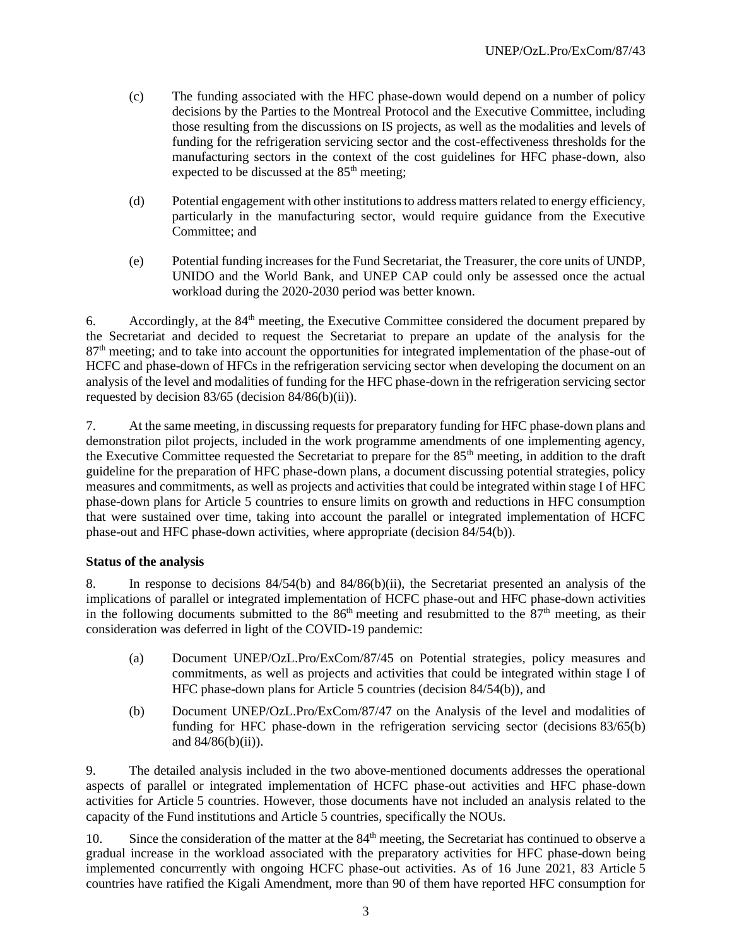- (c) The funding associated with the HFC phase-down would depend on a number of policy decisions by the Parties to the Montreal Protocol and the Executive Committee, including those resulting from the discussions on IS projects, as well as the modalities and levels of funding for the refrigeration servicing sector and the cost-effectiveness thresholds for the manufacturing sectors in the context of the cost guidelines for HFC phase-down, also expected to be discussed at the 85<sup>th</sup> meeting;
- (d) Potential engagement with other institutions to address matters related to energy efficiency, particularly in the manufacturing sector, would require guidance from the Executive Committee; and
- (e) Potential funding increases for the Fund Secretariat, the Treasurer, the core units of UNDP, UNIDO and the World Bank, and UNEP CAP could only be assessed once the actual workload during the 2020-2030 period was better known.

6. Accordingly, at the  $84<sup>th</sup>$  meeting, the Executive Committee considered the document prepared by the Secretariat and decided to request the Secretariat to prepare an update of the analysis for the 87<sup>th</sup> meeting; and to take into account the opportunities for integrated implementation of the phase-out of HCFC and phase-down of HFCs in the refrigeration servicing sector when developing the document on an analysis of the level and modalities of funding for the HFC phase-down in the refrigeration servicing sector requested by decision 83/65 (decision 84/86(b)(ii)).

7. At the same meeting, in discussing requests for preparatory funding for HFC phase-down plans and demonstration pilot projects, included in the work programme amendments of one implementing agency, the Executive Committee requested the Secretariat to prepare for the 85th meeting, in addition to the draft guideline for the preparation of HFC phase-down plans, a document discussing potential strategies, policy measures and commitments, as well as projects and activities that could be integrated within stage I of HFC phase-down plans for Article 5 countries to ensure limits on growth and reductions in HFC consumption that were sustained over time, taking into account the parallel or integrated implementation of HCFC phase-out and HFC phase-down activities, where appropriate (decision 84/54(b)).

## **Status of the analysis**

8. In response to decisions 84/54(b) and 84/86(b)(ii), the Secretariat presented an analysis of the implications of parallel or integrated implementation of HCFC phase-out and HFC phase-down activities in the following documents submitted to the  $86<sup>th</sup>$  meeting and resubmitted to the  $87<sup>th</sup>$  meeting, as their consideration was deferred in light of the COVID-19 pandemic:

- (a) Document UNEP/OzL.Pro/ExCom/87/45 on Potential strategies, policy measures and commitments, as well as projects and activities that could be integrated within stage I of HFC phase-down plans for Article 5 countries (decision 84/54(b)), and
- (b) Document UNEP/OzL.Pro/ExCom/87/47 on the Analysis of the level and modalities of funding for HFC phase-down in the refrigeration servicing sector (decisions 83/65(b) and  $84/86(b)(ii)$ ).

9. The detailed analysis included in the two above-mentioned documents addresses the operational aspects of parallel or integrated implementation of HCFC phase-out activities and HFC phase-down activities for Article 5 countries. However, those documents have not included an analysis related to the capacity of the Fund institutions and Article 5 countries, specifically the NOUs.

10. Since the consideration of the matter at the 84<sup>th</sup> meeting, the Secretariat has continued to observe a gradual increase in the workload associated with the preparatory activities for HFC phase-down being implemented concurrently with ongoing HCFC phase-out activities. As of 16 June 2021, 83 Article 5 countries have ratified the Kigali Amendment, more than 90 of them have reported HFC consumption for